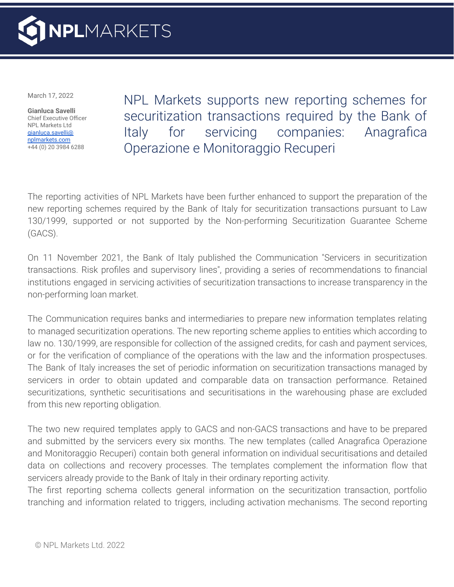

March 17, 2022

**Gianluca Savelli** Chief Executive Officer NPL Markets Ltd gianluca.savelli@ [nplmarkets.com](mailto:burkhard.heppe@nplmarkets.com) +44 (0) 20 3984 6288

NPL Markets supports new reporting schemes for securitization transactions required by the Bank of Italy for servicing companies: Anagrafica Operazione e Monitoraggio Recuperi

The reporting activities of NPL Markets have been further enhanced to support the preparation of the new reporting schemes required by the Bank of Italy for securitization transactions pursuant to Law 130/1999, supported or not supported by the Non-performing Securitization Guarantee Scheme (GACS).

On 11 November 2021, the Bank of Italy published the Communication "Servicers in securitization transactions. Risk profiles and supervisory lines", providing a series of recommendations to financial institutions engaged in servicing activities of securitization transactions to increase transparency in the non-performing loan market.

The Communication requires banks and intermediaries to prepare new information templates relating to managed securitization operations. The new reporting scheme applies to entities which according to law no. 130/1999, are responsible for collection of the assigned credits, for cash and payment services, or for the verification of compliance of the operations with the law and the information prospectuses. The Bank of Italy increases the set of periodic information on securitization transactions managed by servicers in order to obtain updated and comparable data on transaction performance. Retained securitizations, synthetic securitisations and securitisations in the warehousing phase are excluded from this new reporting obligation.

The two new required templates apply to GACS and non-GACS transactions and have to be prepared and submitted by the servicers every six months. The new templates (called Anagrafica Operazione and Monitoraggio Recuperi) contain both general information on individual securitisations and detailed data on collections and recovery processes. The templates complement the information flow that servicers already provide to the Bank of Italy in their ordinary reporting activity.

The first reporting schema collects general information on the securitization transaction, portfolio tranching and information related to triggers, including activation mechanisms. The second reporting